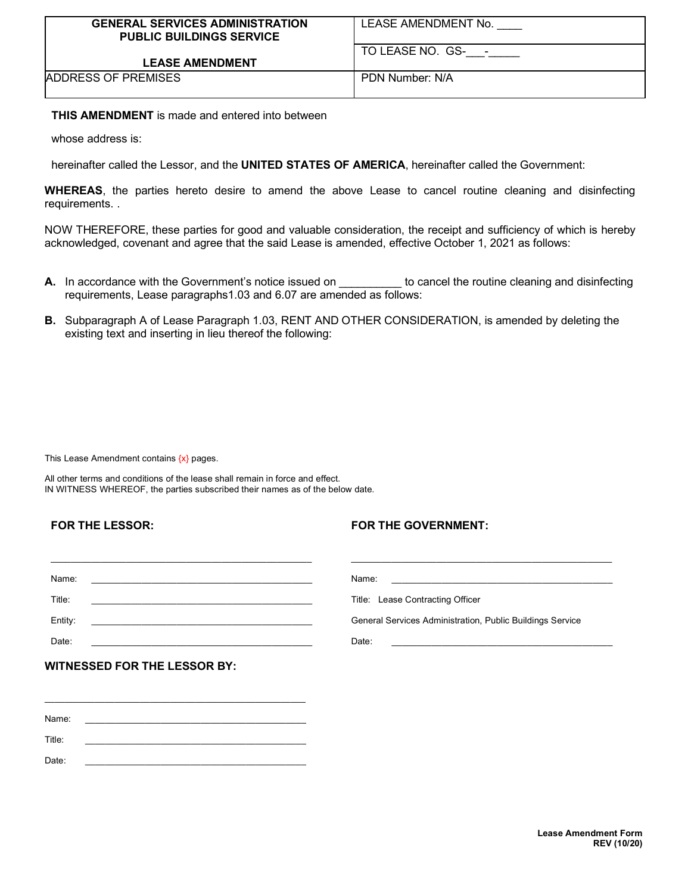| <b>GENERAL SERVICES ADMINISTRATION</b><br><b>PUBLIC BUILDINGS SERVICE</b> | LEASE AMENDMENT No. |
|---------------------------------------------------------------------------|---------------------|
| <b>LEASE AMENDMENT</b>                                                    | TO LEASE NO. GS-    |
| ADDRESS OF PREMISES                                                       | PDN Number: N/A     |

**THIS AMENDMENT** is made and entered into between

whose address is:

hereinafter called the Lessor, and the **UNITED STATES OF AMERICA**, hereinafter called the Government:

**WHEREAS**, the parties hereto desire to amend the above Lease to cancel routine cleaning and disinfecting requirements. .

NOW THEREFORE, these parties for good and valuable consideration, the receipt and sufficiency of which is hereby acknowledged, covenant and agree that the said Lease is amended, effective October 1, 2021 as follows:

- **A.** In accordance with the Government's notice issued on to cancel the routine cleaning and disinfecting requirements, Lease paragraphs1.03 and 6.07 are amended as follows:
- **B.** Subparagraph A of Lease Paragraph 1.03, RENT AND OTHER CONSIDERATION, is amended by deleting the existing text and inserting in lieu thereof the following:

This Lease Amendment contains  $\{x\}$  pages.

All other terms and conditions of the lease shall remain in force and effect. IN WITNESS WHEREOF, the parties subscribed their names as of the below date.

## **FOR THE LESSOR:**

## **FOR THE GOVERNMENT:**

| Name:                                                                                                                                                                                                                                   | Name:                                                                                                               |
|-----------------------------------------------------------------------------------------------------------------------------------------------------------------------------------------------------------------------------------------|---------------------------------------------------------------------------------------------------------------------|
| <u> 1989 - Johann John Stein, markin film ar yn y brenin y brenin y brenin y brenin y brenin y brenin y brenin y</u>                                                                                                                    | <u> 1980 - Jan Berlin, martin de Brasilia e a contrador de la contrador de la contrador de la contrador de la c</u> |
| Title:<br>the control of the control of the control of the control of the control of the control of the control of the control of the control of the control of the control of the control of the control of the control of the control | Title: Lease Contracting Officer                                                                                    |
| Entity:                                                                                                                                                                                                                                 | General Services Administration, Public Buildings Service                                                           |
| Date:                                                                                                                                                                                                                                   | Date:                                                                                                               |
|                                                                                                                                                                                                                                         |                                                                                                                     |

Name: \_\_\_\_\_\_\_\_\_\_\_\_\_\_\_\_\_\_\_\_\_\_\_\_\_\_\_\_\_\_\_\_\_\_\_\_\_\_\_\_\_\_\_\_ Title: \_\_\_\_\_\_\_\_\_\_\_\_\_\_\_\_\_\_\_\_\_\_\_\_\_\_\_\_\_\_\_\_\_\_\_\_\_\_\_\_\_\_\_\_ Date: \_\_\_\_\_\_\_\_\_\_\_\_\_\_\_\_\_\_\_\_\_\_\_\_\_\_\_\_\_\_\_\_\_\_\_\_\_\_\_\_\_\_\_\_

\_\_\_\_\_\_\_\_\_\_\_\_\_\_\_\_\_\_\_\_\_\_\_\_\_\_\_\_\_\_\_\_\_\_\_\_\_\_\_\_\_\_\_\_\_\_\_\_\_\_\_\_